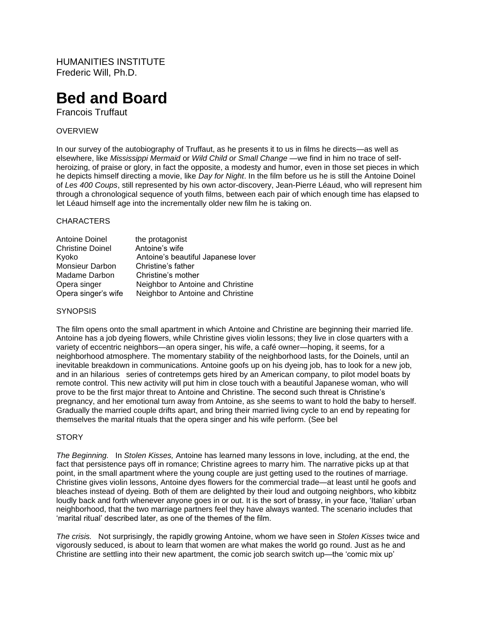HUMANITIES INSTITUTE Frederic Will, Ph.D.

# **Bed and Board**

Francois Truffaut

# OVERVIEW

In our survey of the autobiography of Truffaut, as he presents it to us in films he directs—as well as elsewhere, like *Mississippi Mermaid* or *Wild Child or Small Change* —we find in him no trace of selfheroizing, of praise or glory, in fact the opposite, a modesty and humor, even in those set pieces in which he depicts himself directing a movie, like *Day for Night*. In the film before us he is still the Antoine Doinel of *Les 400 Coups*, still represented by his own actor-discovery, Jean-Pierre Léaud, who will represent him through a chronological sequence of youth films, between each pair of which enough time has elapsed to let Léaud himself age into the incrementally older new film he is taking on.

## **CHARACTERS**

| Antoine Doinel          | the protagonist                    |
|-------------------------|------------------------------------|
| <b>Christine Doinel</b> | Antoine's wife                     |
| Kyoko                   | Antoine's beautiful Japanese lover |
| <b>Monsieur Darbon</b>  | Christine's father                 |
| Madame Darbon           | Christine's mother                 |
| Opera singer            | Neighbor to Antoine and Christine  |
| Opera singer's wife     | Neighbor to Antoine and Christine  |

# **SYNOPSIS**

The film opens onto the small apartment in which Antoine and Christine are beginning their married life. Antoine has a job dyeing flowers, while Christine gives violin lessons; they live in close quarters with a variety of eccentric neighbors—an opera singer, his wife, a café owner—hoping, it seems, for a neighborhood atmosphere. The momentary stability of the neighborhood lasts, for the Doinels, until an inevitable breakdown in communications. Antoine goofs up on his dyeing job, has to look for a new job, and in an hilarious series of contretemps gets hired by an American company, to pilot model boats by remote control. This new activity will put him in close touch with a beautiful Japanese woman, who will prove to be the first major threat to Antoine and Christine. The second such threat is Christine's pregnancy, and her emotional turn away from Antoine, as she seems to want to hold the baby to herself. Gradually the married couple drifts apart, and bring their married living cycle to an end by repeating for themselves the marital rituals that the opera singer and his wife perform. (See bel

## **STORY**

*The Beginning.* In *Stolen Kisses,* Antoine has learned many lessons in love, including, at the end, the fact that persistence pays off in romance; Christine agrees to marry him. The narrative picks up at that point, in the small apartment where the young couple are just getting used to the routines of marriage. Christine gives violin lessons, Antoine dyes flowers for the commercial trade—at least until he goofs and bleaches instead of dyeing. Both of them are delighted by their loud and outgoing neighbors, who kibbitz loudly back and forth whenever anyone goes in or out. It is the sort of brassy, in your face, 'Italian' urban neighborhood, that the two marriage partners feel they have always wanted. The scenario includes that 'marital ritual' described later, as one of the themes of the film.

*The crisis.* Not surprisingly, the rapidly growing Antoine, whom we have seen in *Stolen Kisses* twice and vigorously seduced, is about to learn that women are what makes the world go round. Just as he and Christine are settling into their new apartment, the comic job search switch up—the 'comic mix up'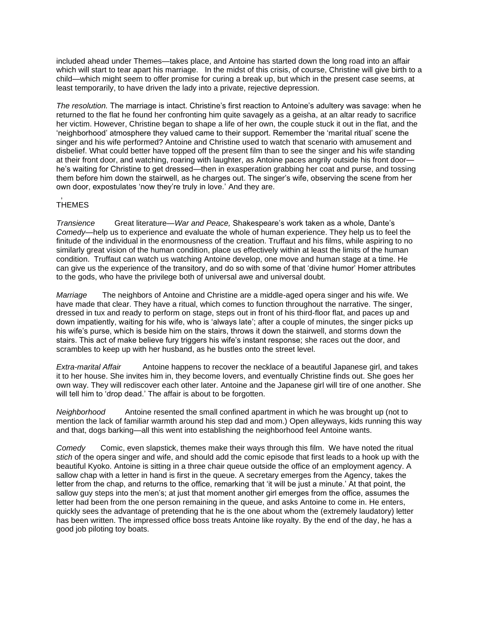included ahead under Themes—takes place, and Antoine has started down the long road into an affair which will start to tear apart his marriage. In the midst of this crisis, of course, Christine will give birth to a child—which might seem to offer promise for curing a break up, but which in the present case seems, at least temporarily, to have driven the lady into a private, rejective depression.

*The resolution.* The marriage is intact. Christine's first reaction to Antoine's adultery was savage: when he returned to the flat he found her confronting him quite savagely as a geisha, at an altar ready to sacrifice her victim. However, Christine began to shape a life of her own, the couple stuck it out in the flat, and the 'neighborhood' atmosphere they valued came to their support. Remember the 'marital ritual' scene the singer and his wife performed? Antoine and Christine used to watch that scenario with amusement and disbelief. What could better have topped off the present film than to see the singer and his wife standing at their front door, and watching, roaring with laughter, as Antoine paces angrily outside his front door he's waiting for Christine to get dressed—then in exasperation grabbing her coat and purse, and tossing them before him down the stairwell, as he charges out. The singer's wife, observing the scene from her own door, expostulates 'now they're truly in love.' And they are.

#### , **THEMES**

*Transience* Great literature—*War and Peace,* Shakespeare's work taken as a whole, Dante's *Comedy*—help us to experience and evaluate the whole of human experience. They help us to feel the finitude of the individual in the enormousness of the creation. Truffaut and his films, while aspiring to no similarly great vision of the human condition, place us effectively within at least the limits of the human condition. Truffaut can watch us watching Antoine develop, one move and human stage at a time. He can give us the experience of the transitory, and do so with some of that 'divine humor' Homer attributes to the gods, who have the privilege both of universal awe and universal doubt.

*Marriage* The neighbors of Antoine and Christine are a middle-aged opera singer and his wife. We have made that clear. They have a ritual, which comes to function throughout the narrative. The singer, dressed in tux and ready to perform on stage, steps out in front of his third-floor flat, and paces up and down impatiently, waiting for his wife, who is 'always late'; after a couple of minutes, the singer picks up his wife's purse, which is beside him on the stairs, throws it down the stairwell, and storms down the stairs. This act of make believe fury triggers his wife's instant response; she races out the door, and scrambles to keep up with her husband, as he bustles onto the street level.

*Extra-marital Affair* Antoine happens to recover the necklace of a beautiful Japanese girl, and takes it to her house. She invites him in, they become lovers, and eventually Christine finds out. She goes her own way. They will rediscover each other later. Antoine and the Japanese girl will tire of one another. She will tell him to 'drop dead.' The affair is about to be forgotten.

*Neighborhood* Antoine resented the small confined apartment in which he was brought up (not to mention the lack of familiar warmth around his step dad and mom.) Open alleyways, kids running this way and that, dogs barking—all this went into establishing the neighborhood feel Antoine wants.

*Comedy* Comic, even slapstick, themes make their ways through this film. We have noted the ritual *stich* of the opera singer and wife, and should add the comic episode that first leads to a hook up with the beautiful Kyoko. Antoine is sitting in a three chair queue outside the office of an employment agency. A sallow chap with a letter in hand is first in the queue. A secretary emerges from the Agency, takes the letter from the chap, and returns to the office, remarking that 'it will be just a minute.' At that point, the sallow guy steps into the men's; at just that moment another girl emerges from the office, assumes the letter had been from the one person remaining in the queue, and asks Antoine to come in. He enters, quickly sees the advantage of pretending that he is the one about whom the (extremely laudatory) letter has been written. The impressed office boss treats Antoine like royalty. By the end of the day, he has a good job piloting toy boats.